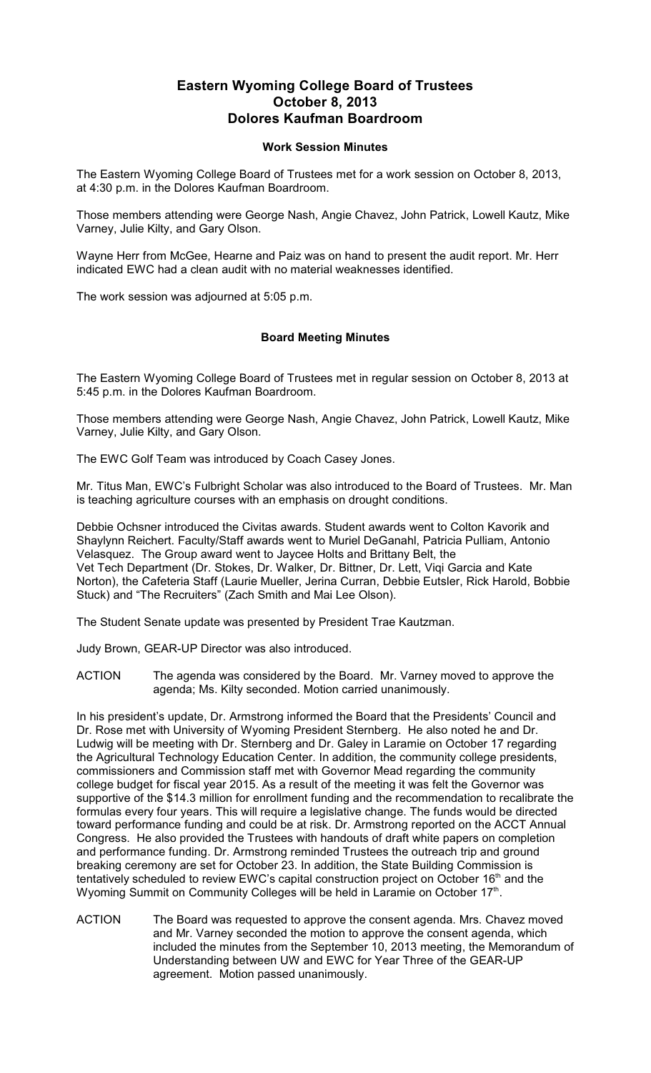## **Eastern Wyoming College Board of Trustees October 8, 2013 Dolores Kaufman Boardroom**

## **Work Session Minutes**

The Eastern Wyoming College Board of Trustees met for a work session on October 8, 2013, at 4:30 p.m. in the Dolores Kaufman Boardroom.

Those members attending were George Nash, Angie Chavez, John Patrick, Lowell Kautz, Mike Varney, Julie Kilty, and Gary Olson.

Wayne Herr from McGee, Hearne and Paiz was on hand to present the audit report. Mr. Herr indicated EWC had a clean audit with no material weaknesses identified.

The work session was adjourned at 5:05 p.m.

## **Board Meeting Minutes**

The Eastern Wyoming College Board of Trustees met in regular session on October 8, 2013 at 5:45 p.m. in the Dolores Kaufman Boardroom.

Those members attending were George Nash, Angie Chavez, John Patrick, Lowell Kautz, Mike Varney, Julie Kilty, and Gary Olson.

The EWC Golf Team was introduced by Coach Casey Jones.

Mr. Titus Man, EWC's Fulbright Scholar was also introduced to the Board of Trustees. Mr. Man is teaching agriculture courses with an emphasis on drought conditions.

Debbie Ochsner introduced the Civitas awards. Student awards went to Colton Kavorik and Shaylynn Reichert. Faculty/Staff awards went to Muriel DeGanahl, Patricia Pulliam, Antonio Velasquez. The Group award went to Jaycee Holts and Brittany Belt, the Vet Tech Department (Dr. Stokes, Dr. Walker, Dr. Bittner, Dr. Lett, Viqi Garcia and Kate Norton), the Cafeteria Staff (Laurie Mueller, Jerina Curran, Debbie Eutsler, Rick Harold, Bobbie Stuck) and "The Recruiters" (Zach Smith and Mai Lee Olson).

The Student Senate update was presented by President Trae Kautzman.

Judy Brown, GEAR-UP Director was also introduced.

ACTION The agenda was considered by the Board. Mr. Varney moved to approve the agenda; Ms. Kilty seconded. Motion carried unanimously.

In his president's update, Dr. Armstrong informed the Board that the Presidents' Council and Dr. Rose met with University of Wyoming President Sternberg. He also noted he and Dr. Ludwig will be meeting with Dr. Sternberg and Dr. Galey in Laramie on October 17 regarding the Agricultural Technology Education Center. In addition, the community college presidents, commissioners and Commission staff met with Governor Mead regarding the community college budget for fiscal year 2015. As a result of the meeting it was felt the Governor was supportive of the \$14.3 million for enrollment funding and the recommendation to recalibrate the formulas every four years. This will require a legislative change. The funds would be directed toward performance funding and could be at risk. Dr. Armstrong reported on the ACCT Annual Congress. He also provided the Trustees with handouts of draft white papers on completion and performance funding. Dr. Armstrong reminded Trustees the outreach trip and ground breaking ceremony are set for October 23. In addition, the State Building Commission is tentatively scheduled to review EWC's capital construction project on October 16<sup>th</sup> and the Wyoming Summit on Community Colleges will be held in Laramie on October 17<sup>th</sup>.

ACTION The Board was requested to approve the consent agenda. Mrs. Chavez moved and Mr. Varney seconded the motion to approve the consent agenda, which included the minutes from the September 10, 2013 meeting, the Memorandum of Understanding between UW and EWC for Year Three of the GEAR-UP agreement. Motion passed unanimously.